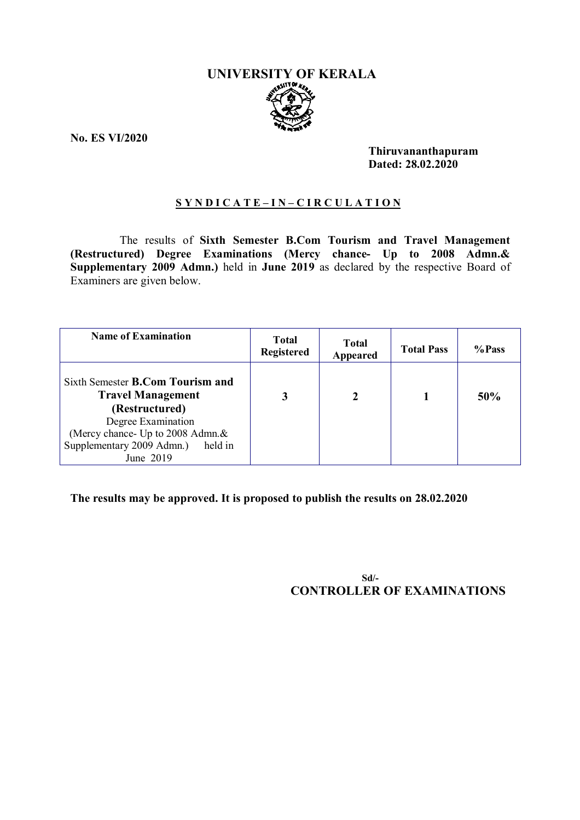# **UNIVERSITY OF KERALA**

**No. ES VI/2020**

**Thiruvananthapuram Dated: 28.02.2020**

# **S Y N D I C A T E – I N – C I R C U L A T I O N**

The results of **Sixth Semester B.Com Tourism and Travel Management (Restructured) Degree Examinations (Mercy chance- Up to 2008 Admn.& Supplementary 2009 Admn.)** held in **June 2019** as declared by the respective Board of Examiners are given below.

| <b>Name of Examination</b>                                                                                  | <b>Total</b><br><b>Registered</b> | <b>Total</b><br>Appeared | <b>Total Pass</b> | %Pass |
|-------------------------------------------------------------------------------------------------------------|-----------------------------------|--------------------------|-------------------|-------|
| Sixth Semester <b>B.Com Tourism and</b><br><b>Travel Management</b><br>(Restructured)<br>Degree Examination | 3                                 | 2                        |                   | 50%   |
| (Mercy chance- Up to 2008 Admn.&<br>Supplementary 2009 Admn.)<br>held in                                    |                                   |                          |                   |       |
| June 2019                                                                                                   |                                   |                          |                   |       |

**The results may be approved. It is proposed to publish the results on 28.02.2020**

 **Sd/- CONTROLLER OF EXAMINATIONS**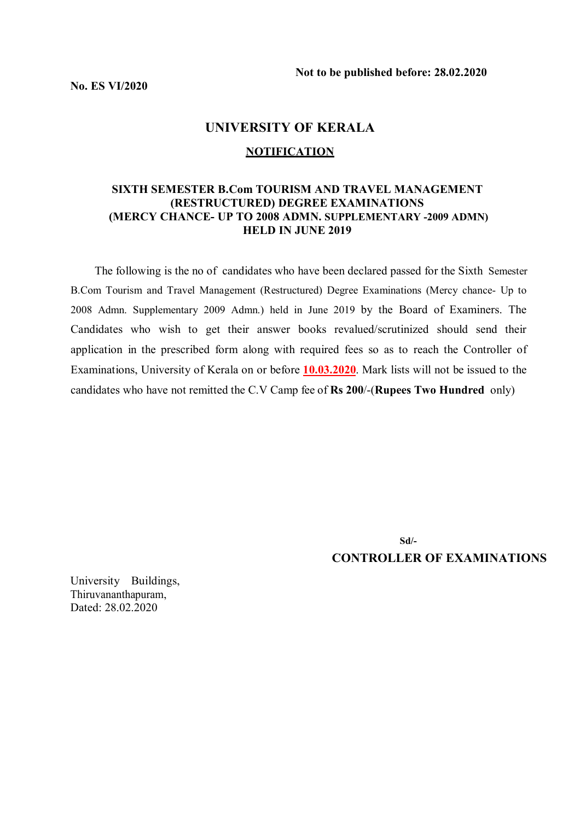# **UNIVERSITY OF KERALA**

#### **NOTIFICATION**

# **SIXTH SEMESTER B.Com TOURISM AND TRAVEL MANAGEMENT (RESTRUCTURED) DEGREE EXAMINATIONS (MERCY CHANCE- UP TO 2008 ADMN. SUPPLEMENTARY -2009 ADMN) HELD IN JUNE 2019**

 The following is the no of candidates who have been declared passed for the Sixth Semester B.Com Tourism and Travel Management (Restructured) Degree Examinations (Mercy chance- Up to 2008 Admn. Supplementary 2009 Admn.) held in June 2019 by the Board of Examiners. The Candidates who wish to get their answer books revalued/scrutinized should send their application in the prescribed form along with required fees so as to reach the Controller of Examinations, University of Kerala on or before **10.03.2020**. Mark lists will not be issued to the candidates who have not remitted the C.V Camp fee of **Rs 200**/-(**Rupees Two Hundred** only)

 **Sd/- CONTROLLER OF EXAMINATIONS**

University Buildings, Thiruvananthapuram, Dated: 28.02.2020